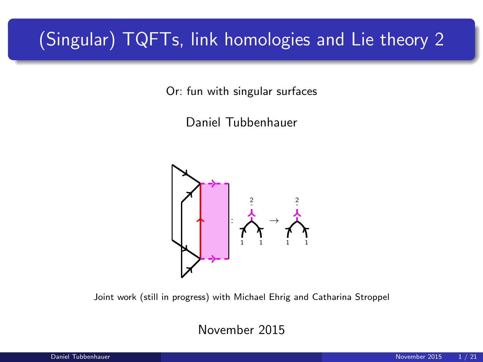# (Singular) TQFTs, link homologies and Lie theory 2

Or: fun with singular surfaces

Daniel Tubbenhauer



Joint work (still in progress) with Michael Ehrig and Catharina Stroppel

November 2015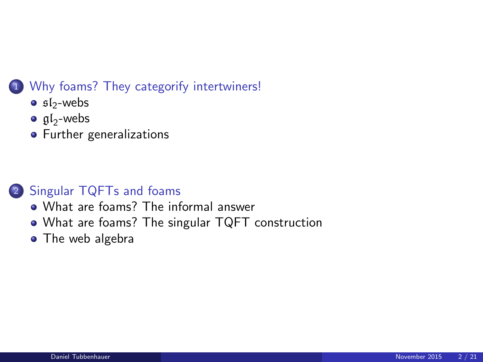### <sup>1</sup> [Why foams? They categorify intertwiners!](#page-2-0)

- $\bullet$  sl<sub>2</sub>[-webs](#page-2-0)
- $\mathfrak{gl}_2$ [-webs](#page-6-0)
- **•** [Further generalizations](#page-10-0)

### <sup>2</sup> [Singular TQFTs and foams](#page-12-0)

- [What are foams? The informal answer](#page-12-0)
- [What are foams? The singular TQFT construction](#page-13-0)
- [The web algebra](#page-17-0)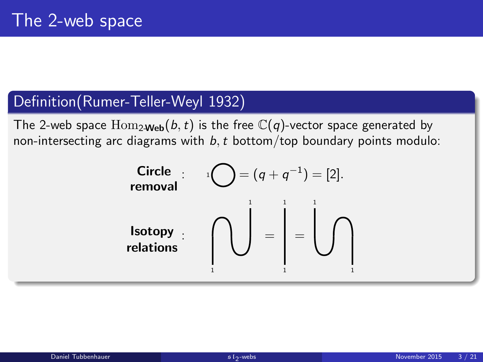### Definition(Rumer-Teller-Weyl 1932)

The 2-web space  $\text{Hom}_{2\text{Web}}(b, t)$  is the free  $\mathbb{C}(q)$ -vector space generated by non-intersecting arc diagrams with  $b$ , t bottom/top boundary points modulo:

<span id="page-2-0"></span>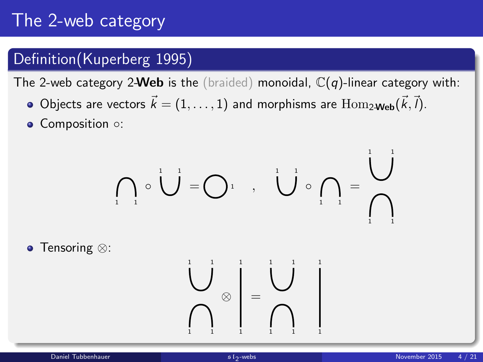# The 2-web category

### Definition(Kuperberg 1995)

The 2-web category 2-Web is the (braided) monoidal,  $\mathbb{C}(q)$ -linear category with:

- Objects are vectors  $\vec{k} = (1, \ldots, 1)$  and morphisms are  $\text{Hom}_{2\textbf{-Web}}(\vec{k}, \vec{l}).$
- Composition ○:

$$
\bigcap_{i=1}^{\infty} \circ \bigcup_{i=1}^{n} = \bigcap_{i=1}^{n} \circ \bigcup_{i=1}^{n} \circ \bigcap_{i=1}^{n} = \bigcap_{i=1}^{n} \circ \bigcap_{i=1}^{n} = \bigcap_{i=1}^{n} = \bigcap_{i=1}^{n} = \bigcap_{i=1}^{n} = \bigcap_{i=1}^{n} = \bigcap_{i=1}^{n} = \bigcap_{i=1}^{n} = \bigcap_{i=1}^{n} = \bigcap_{i=1}^{n} = \bigcap_{i=1}^{n} = \bigcap_{i=1}^{n} = \bigcap_{i=1}^{n} = \bigcap_{i=1}^{n} = \bigcap_{i=1}^{n} = \bigcap_{i=1}^{n} = \bigcap_{i=1}^{n} = \bigcap_{i=1}^{n} = \bigcap_{i=1}^{n} = \bigcap_{i=1}^{n} = \bigcap_{i=1}^{n} = \bigcap_{i=1}^{n} = \bigcap_{i=1}^{n} = \bigcap_{i=1}^{n} = \bigcap_{i=1}^{n} = \bigcap_{i=1}^{n} = \bigcap_{i=1}^{n} = \bigcap_{i=1}^{n} = \bigcap_{i=1}^{n} = \bigcap_{i=1}^{n} = \bigcap_{i=1}^{n} = \bigcap_{i=1}^{n} = \bigcap_{i=1}^{n} = \bigcap_{i=1}^{n} = \bigcap_{i=1}^{n} = \bigcap_{i=1}^{n} = \bigcap_{i=1}^{n} = \bigcap_{i=1}^{n} = \bigcap_{i=1}^{n} = \bigcap_{i=1}^{n} = \bigcap_{i=1}^{n} = \bigcap_{i=1}^{n} = \bigcap_{i=1}^{n} = \bigcap_{i=1}^{n} = \bigcap_{i=1}^{n} = \bigcap_{i=1}^{n} = \bigcap_{i=1}^{n} = \bigcap_{i=1}^{n} = \bigcap_{i=1}^{n} = \bigcap_{i=1}^{n} = \bigcap_{i=1}^{n} = \bigcap_{i=1}^{n} = \bigcap_{i=1}^{n} = \bigcap_{i=1}^{n} = \bigcap_{i=1}^{n} = \bigcap_{i=1}^{n} = \bigcap_{i=1}^{n} = \bigcap_{i=1}^{n
$$

● Tensoring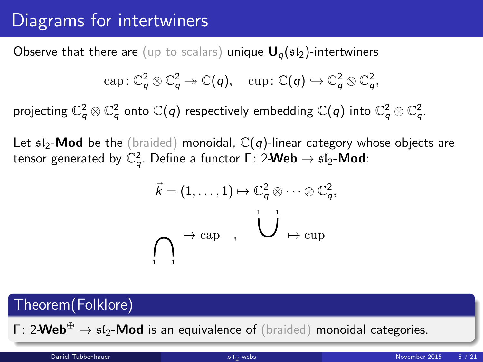# Diagrams for intertwiners

Observe that there are (up to scalars) unique  $U_q(sI_2)$ -intertwiners

$$
\text{cap}: \mathbb{C}_q^2 \otimes \mathbb{C}_q^2 \twoheadrightarrow \mathbb{C}(q), \quad \text{cup}: \mathbb{C}(q) \hookrightarrow \mathbb{C}_q^2 \otimes \mathbb{C}_q^2,
$$

projecting  $\mathbb{C}_q^2\otimes\mathbb{C}_q^2$  onto  $\mathbb{C}(q)$  respectively embedding  $\mathbb{C}(q)$  into  $\mathbb{C}_q^2\otimes\mathbb{C}_q^2$ .

Let  $sI_2$ -Mod be the (braided) monoidal,  $\mathbb{C}(q)$ -linear category whose objects are tensor generated by  $\mathbb{C}_q^2.$  Define a functor  $\mathsf{\Gamma}\colon 2\text{-}\mathsf{Web} \to \mathfrak{sl}_2\text{-}\mathsf{Mod}\colon$ 

$$
\vec{k} = (1, \ldots, 1) \mapsto \mathbb{C}_q^2 \otimes \cdots \otimes \mathbb{C}_q^2,
$$
  

$$
\bigcap_{i=1}^n \mapsto \text{cap} \quad , \quad \bigcup_{i=1}^n \mapsto \text{cup}
$$

# Theorem(Folklore)  $\Gamma: 2$ **-Web**<sup>⊕</sup>  $\rightarrow$   $\mathfrak{sl}_2$ -**Mod** is an equivalence of (braided) monoidal categories.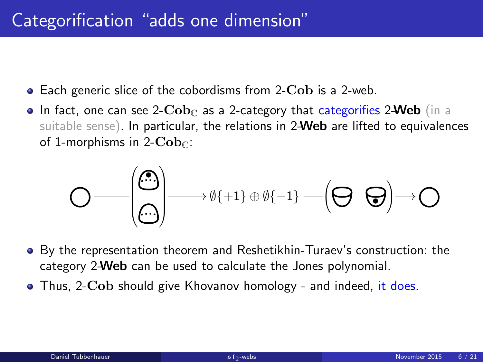- Each generic slice of the cobordisms from 2-Cob is a 2-web.
- In fact, one can see 2- $\mathbf{Cob}_{\mathbb{C}}$  as a 2-category that categorifies 2-Web (in a suitable sense). In particular, the relations in 2-Web are lifted to equivalences of 1-morphisms in 2- $\mathbf{Cob}_{\mathbb{C}}$ :

 • /∅{+1} ⊕ ∅{−1} • /

- By the representation theorem and Reshetikhin-Turaev's construction: the category 2-Web can be used to calculate the Jones polynomial.
- Thus, 2-Cob should give Khovanov homology and indeed, it does.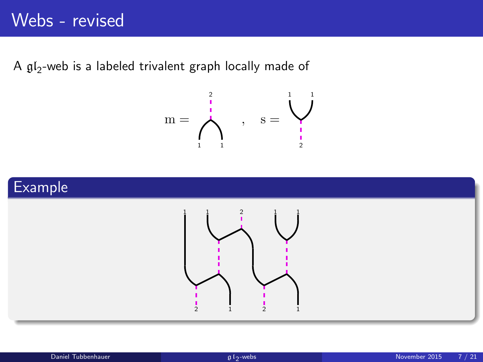A  $\mathfrak{gl}_2$ -web is a labeled trivalent graph locally made of

$$
m=\bigwedge^2_1\qquad \ \ ,\quad \ s=\bigvee^1_2
$$



<span id="page-6-0"></span>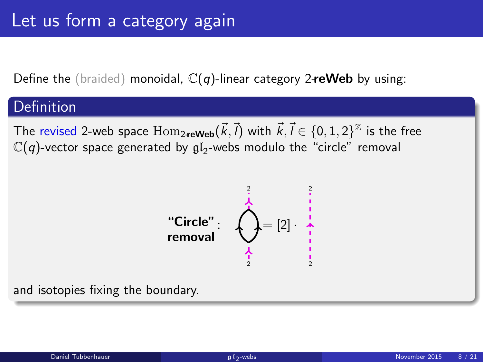Define the (braided) monoidal,  $\mathbb{C}(q)$ -linear category 2-reWeb by using:

### Definition

The revised 2-web space  $\operatorname{Hom}_{2\textbf{-reWeb}}(\vec{k},\vec{l})$  with  $\vec{k},\vec{l}\in\{0,1,2\}^{\mathbb{Z}}$  is the free  $\mathbb{C}(q)$ -vector space generated by  $\mathfrak{gl}_2$ -webs modulo the "circle" removal



and isotopies fixing the boundary.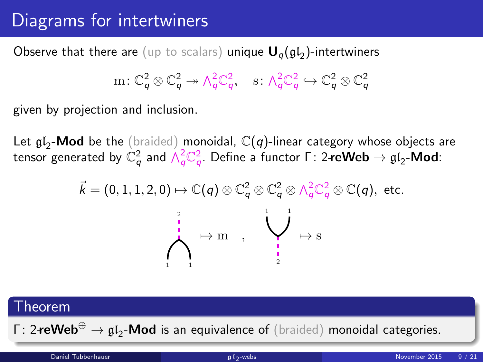# Diagrams for intertwiners

 $\mathsf{Observe}$  that there are  $(\mathsf{up}$  to scalars) unique  $\mathsf{U}_q(\mathfrak{gl}_2)$ -intertwiners

$$
\mathrm{m}\colon \mathbb{C}_q^2\otimes \mathbb{C}_q^2\twoheadrightarrow \wedge_q^2\mathbb{C}_q^2, \quad \mathrm{s}\colon \wedge_q^2\mathbb{C}_q^2\hookrightarrow \mathbb{C}_q^2\otimes \mathbb{C}_q^2
$$

given by projection and inclusion.

Let  $\mathfrak{gl}_2$ -Mod be the (braided) monoidal,  $\mathbb{C}(q)$ -linear category whose objects are tensor generated by  $\mathbb{C}_q^2$  and  $\wedge_q^2\mathbb{C}_q^2.$  Define a functor Γ: 2**-reWeb**  $\rightarrow$   $\mathfrak{gl}_2\text{-}\mathsf{Mod}$ :

$$
\vec{k} = (0, 1, 1, 2, 0) \mapsto \mathbb{C}(q) \otimes \mathbb{C}_q^2 \otimes \mathbb{C}_q^2 \otimes \wedge_q^2 \mathbb{C}_q^2 \otimes \mathbb{C}(q), \text{ etc.}
$$

### Theorem

Γ: 2**-reWeb** $^{\oplus}$   $\rightarrow$   $\mathfrak{gl}_2$ -**Mod** is an equivalence of (braided) monoidal categories.

Daniel Tubbenhauer and Communication of the Communication of the Communication of the Communication of the Communication of the Communication of the Communication of the Communication of the Communication of the Communicat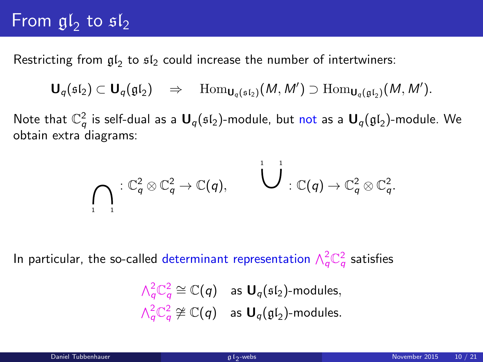# From  $\mathfrak{gl}_2$  to  $\mathfrak{sl}_2$

Restricting from  $\mathfrak{gl}_2$  to  $\mathfrak{sl}_2$  could increase the number of intertwiners:

$$
\mathbf{U}_q(\mathfrak{sl}_2) \subset \mathbf{U}_q(\mathfrak{gl}_2) \quad \Rightarrow \quad \mathrm{Hom}_{\mathbf{U}_q(\mathfrak{sl}_2)}(M,M') \supset \mathrm{Hom}_{\mathbf{U}_q(\mathfrak{gl}_2)}(M,M').
$$

Note that  $\mathbb{C}_q^2$  is self-dual as a  $\textbf{U}_q(\mathfrak{sl}_2)$ -module, but not as a  $\textbf{U}_q(\mathfrak{gl}_2)$ -module. We obtain extra diagrams:

$$
\bigcap_{1}^{\mathcal{C}^2} C_q^2 \otimes \mathbb{C}_q^2 \to \mathbb{C}(q), \qquad \bigcup_{1}^{\mathcal{C}^2} C_q \otimes \mathbb{C}_q^2.
$$

In particular, the so-called determinant representation  $\wedge_q^2\mathbb{C}_q^2$  satisfies

$$
\begin{aligned}\n\bigwedge_{q}^{2} \mathbb{C}_{q}^{2} &\cong \mathbb{C}(q) \quad \text{as } \mathbf{U}_{q}(\mathfrak{sl}_{2})\text{-modules}, \\
\bigwedge_{q}^{2} \mathbb{C}_{q}^{2} &\cong \mathbb{C}(q) \quad \text{as } \mathbf{U}_{q}(\mathfrak{gl}_{2})\text{-modules}.\n\end{aligned}
$$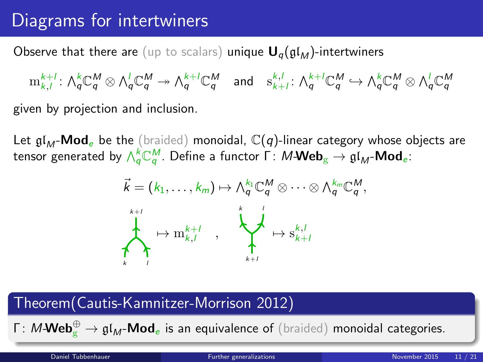# Diagrams for intertwiners

Observe that there are (up to scalars) unique  $U_q(\mathfrak{gl}_M)$ -intertwiners

 $\mathrm{m}^{k+l}_{k,l} \colon \bigwedge\nolimits_q^k \mathbb{C}_q^M \otimes \bigwedge\nolimits_q^l \mathbb{C}_q^M \twoheadrightarrow \bigwedge\nolimits_q^{k+l} \mathbb{C}_q^M \quad \text{and} \quad \mathrm{s}^{k,l}_{k+l} \colon \bigwedge\nolimits_q^{k+l} \mathbb{C}_q^M \hookrightarrow \bigwedge\nolimits_q^k \mathbb{C}_q^M \otimes \bigwedge\nolimits_q^l \mathbb{C}_q^M$ given by projection and inclusion.

Let  $\mathfrak{gl}_M$ -Mod<sub>e</sub> be the (braided) monoidal,  $\mathbb{C}(q)$ -linear category whose objects are tensor generated by  $\wedge_q^k{\mathbb C}^M_q.$  Define a functor  $\Gamma\colon M\text{\bf -Web}_\mathrm{g}\to \mathfrak{gl}_M\text{\bf -Mod}_e.$ 

<span id="page-10-0"></span>

### Theorem(Cautis-Kamnitzer-Morrison 2012)

Γ: M-Web $^{\oplus}_{\rm g}\to {\frak{gl}}_M$ -Mod<sub>e</sub> is an equivalence of (braided) monoidal categories.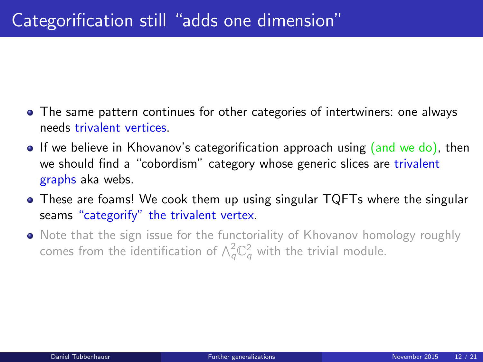- The same pattern continues for other categories of intertwiners: one always needs trivalent vertices.
- If we believe in Khovanov's categorification approach using (and we do), then we should find a "cobordism" category whose generic slices are trivalent graphs aka webs.
- These are foams! We cook them up using singular TQFTs where the singular seams "categorify" the trivalent vertex.
- Note that the sign issue for the functoriality of Khovanov homology roughly comes from the identification of  $\wedge^2_q \mathbb{C}^2_q$  with the trivial module.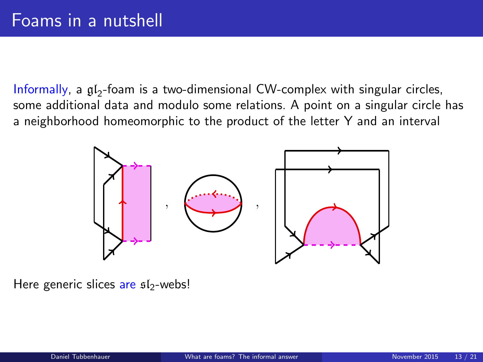$Informally, a  $\mathfrak{gl}_2$ -foam is a two-dimensional CW-complex with singular circles,$ some additional data and modulo some relations. A point on a singular circle has a neighborhood homeomorphic to the product of the letter Y and an interval

<span id="page-12-0"></span>

Here generic slices are sl2-webs!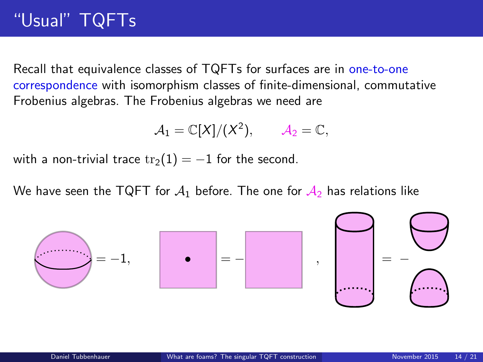# "Usual" TQFTs

Recall that equivalence classes of TQFTs for surfaces are in one-to-one correspondence with isomorphism classes of finite-dimensional, commutative Frobenius algebras. The Frobenius algebras we need are

<span id="page-13-0"></span>
$$
A_1=\mathbb{C}[X]/(X^2), \qquad A_2=\mathbb{C},
$$

with a non-trivial trace  $\text{tr}_2(1) = -1$  for the second.

We have seen the TQFT for  $A_1$  before. The one for  $A_2$  has relations like

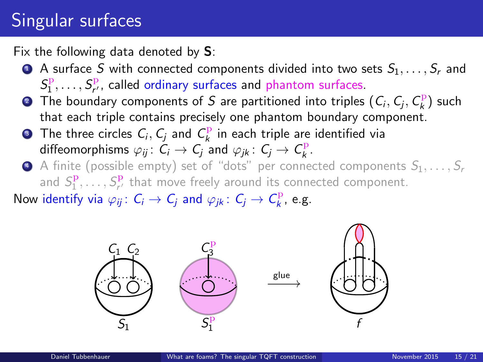# Singular surfaces

Fix the following data denoted by  $S$ :

- $\bullet$  A surface S with connected components divided into two sets  $S_1, \ldots, S_r$  and  $S_1^{\mathrm{p}},\ldots,S_{r'}^{\mathrm{p}}$ , called ordinary surfaces and phantom surfaces.
- **•** The boundary components of S are partitioned into triples  $(C_i, C_j, C_k^{\text{p}})$  such that each triple contains precisely one phantom boundary component.
- **3** The three circles  $C_i, C_j$  and  $C_k^{\mathbf{p}}$  in each triple are identified via diffeomorphisms  $\varphi_{ij} \colon \tilde{C}_i \to C_j$  and  $\varphi_{jk} \colon C_j \to C_k^p$ .
- $\bullet$  A finite (possible empty) set of "dots" per connected components  $S_1, \ldots, S_r$ and  $S_1^{\mathbf{p}}, \ldots, S_{r'}^{\mathbf{p}}$  that move freely around its connected component.

Now identify via  $\varphi_{ij} \colon C_i \to C_j$  and  $\varphi_{jk} \colon C_j \to C^{\mathrm{p}}_k$ , e.g.

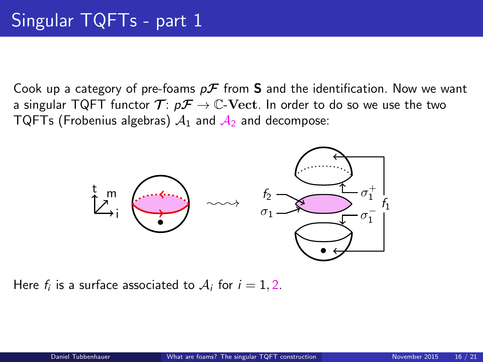Cook up a category of pre-foams  $p\mathcal{F}$  from **S** and the identification. Now we want a singular TQFT functor  $\mathcal{T}$ :  $p\mathcal{F} \rightarrow \mathbb{C}$ -Vect. In order to do so we use the two TQFTs (Frobenius algebras)  $A_1$  and  $A_2$  and decompose:



Here  $f_i$  is a surface associated to  $\mathcal{A}_i$  for  $i=1,2.$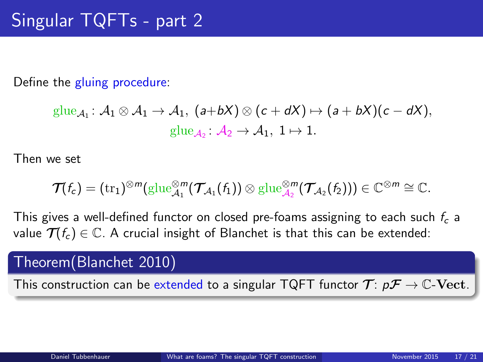Define the gluing procedure:

$$
\underline{\mathrm{glue}}_{\mathcal{A}_1} : \mathcal{A}_1 \otimes \mathcal{A}_1 \to \mathcal{A}_1, \ (a+bX) \otimes (c+dX) \mapsto (a+bX)(c-dX),
$$
  

$$
\underline{\mathrm{glue}}_{\mathcal{A}_2} : \mathcal{A}_2 \to \mathcal{A}_1, \ 1 \mapsto 1.
$$

Then we set

$$
\mathcal T(f_c)=(\operatorname{tr}_1)^{\otimes m}(\operatorname{glue}_{\mathcal A_1}^{\otimes m}(\mathcal T_{\mathcal A_1}(f_1))\otimes \operatorname{glue}_{\mathcal A_2}^{\otimes m}(\mathcal T_{\mathcal A_2}(f_2)))\in\mathbb C^{\otimes m}\cong\mathbb C.
$$

This gives a well-defined functor on closed pre-foams assigning to each such  $f_c$  a value  $\mathcal{T}(f_c) \in \mathbb{C}$ . A crucial insight of Blanchet is that this can be extended:

### Theorem(Blanchet 2010)

This construction can be extended to a singular TQFT functor  $\mathcal{T} : p\mathcal{F} \to \mathbb{C}\text{-}\mathbf{Vect}.$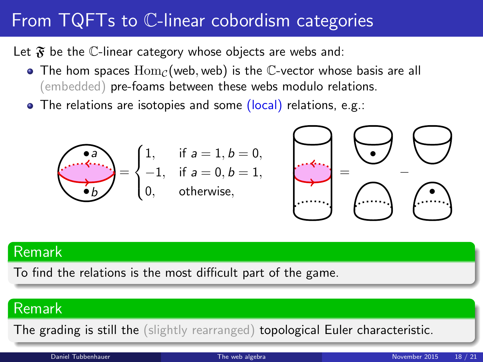# From TQFTs to C-linear cobordism categories

Let  $\mathfrak F$  be the C-linear category whose objects are webs and:

- $\bullet$  The hom spaces  $\text{Hom}_{\mathcal{C}}(\text{web}, \text{web})$  is the C-vector whose basis are all (embedded) pre-foams between these webs modulo relations.
- The relations are isotopies and some (local) relations, e.g.:



### Remark

To find the relations is the most difficult part of the game.

### Remark

<span id="page-17-0"></span>The grading is still the (slightly rearranged) topological Euler characteristic.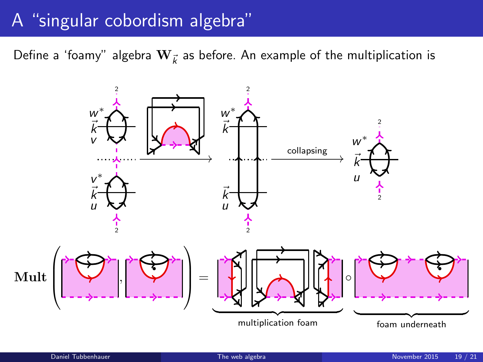# A "singular cobordism algebra"

Define a 'foamy" algebra  $\mathbf{W}_{\vec{k}}$  as before. An example of the multiplication is

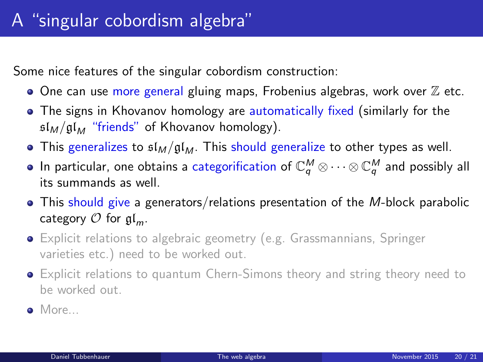Some nice features of the singular cobordism construction:

- $\bullet$  One can use more general gluing maps, Frobenius algebras, work over  $\mathbb Z$  etc.
- The signs in Khovanov homology are automatically fixed (similarly for the  $\frac{\sinh(\theta)}{\sinh(\theta)}$  "friends" of Khovanov homology).
- This generalizes to  $\mathfrak{sl}_M/\mathfrak{gl}_M$ . This should generalize to other types as well.
- In particular, one obtains a categorification of  $\mathbb{C}_q^M\otimes\cdots\otimes\mathbb{C}_q^M$  and possibly all its summands as well.
- This should give a generators/relations presentation of the M-block parabolic category  $\mathcal O$  for  $\mathfrak{gl}_m$ .
- **•** Explicit relations to algebraic geometry (e.g. Grassmannians, Springer varieties etc.) need to be worked out.
- Explicit relations to quantum Chern-Simons theory and string theory need to be worked out.
- More...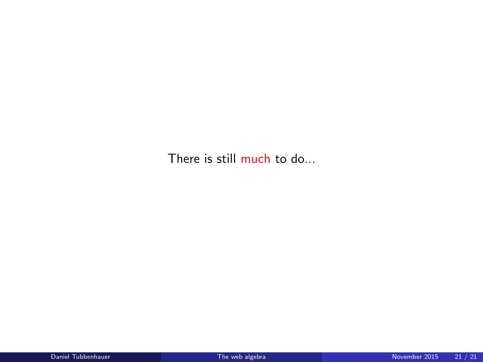There is still much to do...